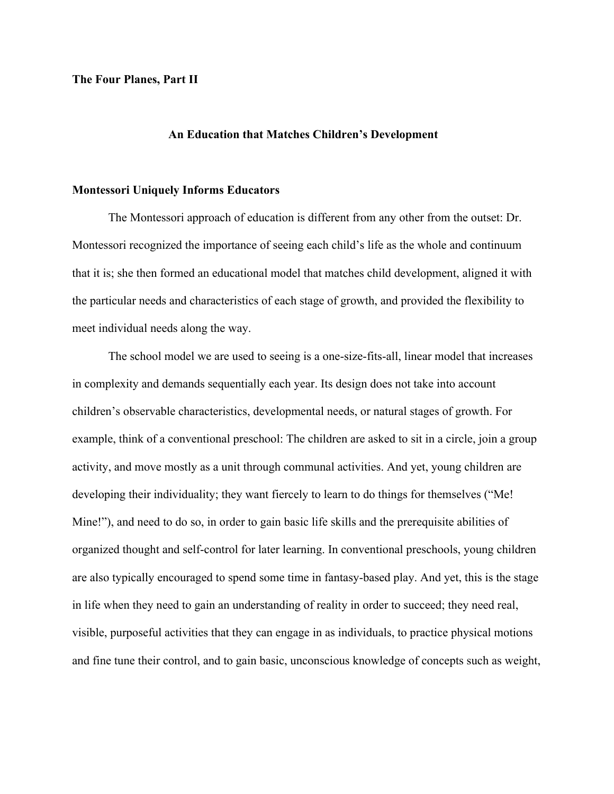# **The Four Planes, Part II**

### **An Education that Matches Children's Development**

## **Montessori Uniquely Informs Educators**

The Montessori approach of education is different from any other from the outset: Dr. Montessori recognized the importance of seeing each child's life as the whole and continuum that it is; she then formed an educational model that matches child development, aligned it with the particular needs and characteristics of each stage of growth, and provided the flexibility to meet individual needs along the way.

The school model we are used to seeing is a one-size-fits-all, linear model that increases in complexity and demands sequentially each year. Its design does not take into account children's observable characteristics, developmental needs, or natural stages of growth. For example, think of a conventional preschool: The children are asked to sit in a circle, join a group activity, and move mostly as a unit through communal activities. And yet, young children are developing their individuality; they want fiercely to learn to do things for themselves ("Me! Mine!"), and need to do so, in order to gain basic life skills and the prerequisite abilities of organized thought and self-control for later learning. In conventional preschools, young children are also typically encouraged to spend some time in fantasy-based play. And yet, this is the stage in life when they need to gain an understanding of reality in order to succeed; they need real, visible, purposeful activities that they can engage in as individuals, to practice physical motions and fine tune their control, and to gain basic, unconscious knowledge of concepts such as weight,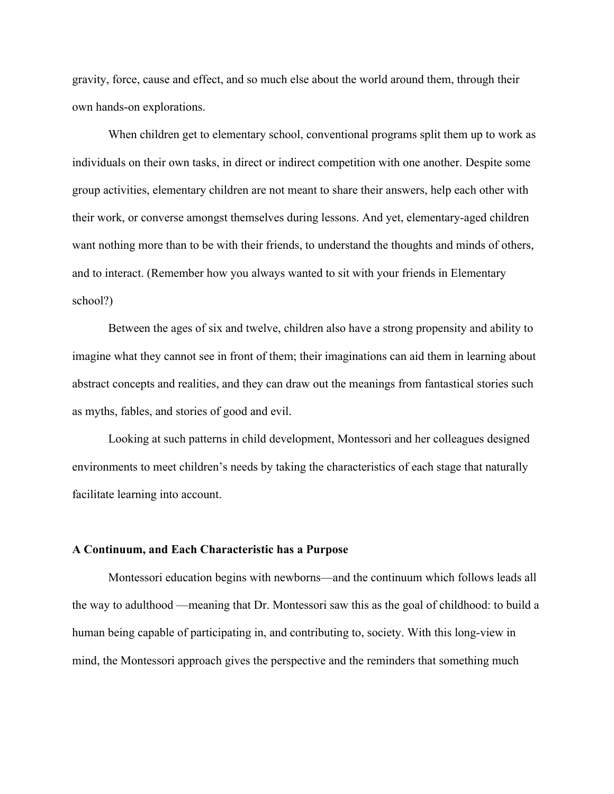gravity, force, cause and effect, and so much else about the world around them, through their own hands-on explorations.

When children get to elementary school, conventional programs split them up to work as individuals on their own tasks, in direct or indirect competition with one another. Despite some group activities, elementary children are not meant to share their answers, help each other with their work, or converse amongst themselves during lessons. And yet, elementary-aged children want nothing more than to be with their friends, to understand the thoughts and minds of others, and to interact. (Remember how you always wanted to sit with your friends in Elementary school?)

Between the ages of six and twelve, children also have a strong propensity and ability to imagine what they cannot see in front of them; their imaginations can aid them in learning about abstract concepts and realities, and they can draw out the meanings from fantastical stories such as myths, fables, and stories of good and evil.

Looking at such patterns in child development, Montessori and her colleagues designed environments to meet children's needs by taking the characteristics of each stage that naturally facilitate learning into account.

#### **A Continuum, and Each Characteristic has a Purpose**

Montessori education begins with newborns—and the continuum which follows leads all the way to adulthood —meaning that Dr. Montessori saw this as the goal of childhood: to build a human being capable of participating in, and contributing to, society. With this long-view in mind, the Montessori approach gives the perspective and the reminders that something much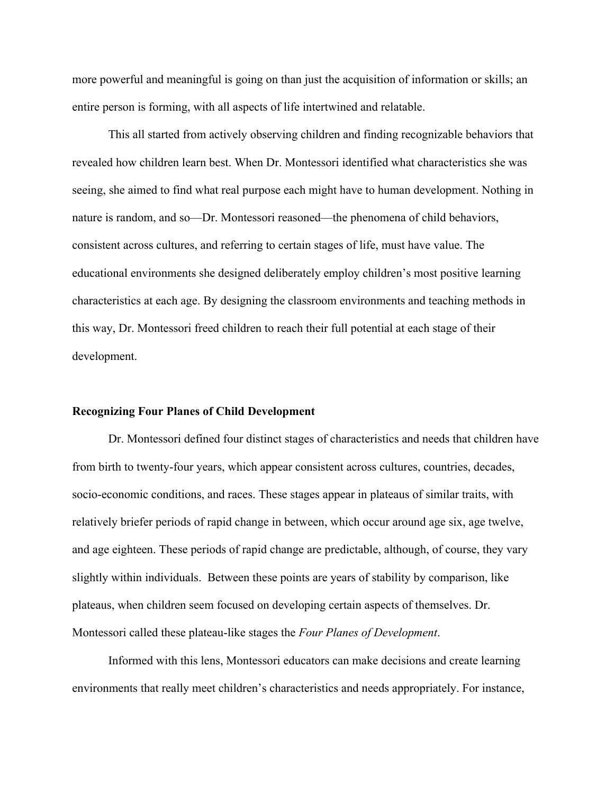more powerful and meaningful is going on than just the acquisition of information or skills; an entire person is forming, with all aspects of life intertwined and relatable.

This all started from actively observing children and finding recognizable behaviors that revealed how children learn best. When Dr. Montessori identified what characteristics she was seeing, she aimed to find what real purpose each might have to human development. Nothing in nature is random, and so—Dr. Montessori reasoned—the phenomena of child behaviors, consistent across cultures, and referring to certain stages of life, must have value. The educational environments she designed deliberately employ children's most positive learning characteristics at each age. By designing the classroom environments and teaching methods in this way, Dr. Montessori freed children to reach their full potential at each stage of their development.

# **Recognizing Four Planes of Child Development**

Dr. Montessori defined four distinct stages of characteristics and needs that children have from birth to twenty-four years, which appear consistent across cultures, countries, decades, socio-economic conditions, and races. These stages appear in plateaus of similar traits, with relatively briefer periods of rapid change in between, which occur around age six, age twelve, and age eighteen. These periods of rapid change are predictable, although, of course, they vary slightly within individuals. Between these points are years of stability by comparison, like plateaus, when children seem focused on developing certain aspects of themselves. Dr. Montessori called these plateau-like stages the *Four Planes of Development*.

Informed with this lens, Montessori educators can make decisions and create learning environments that really meet children's characteristics and needs appropriately. For instance,